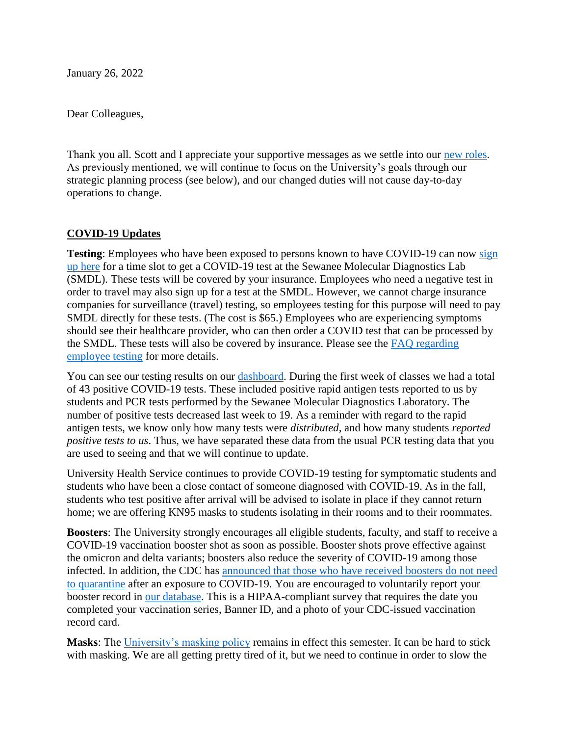January 26, 2022

Dear Colleagues,

Thank you all. Scott and I appreciate your supportive messages as we settle into our [new roles.](https://new.sewanee.edu/news/letters-from-the-vc-and-board-chairs/transition-update-jan-21/) As previously mentioned, we will continue to focus on the University's goals through our strategic planning process (see below), and our changed duties will not cause day-to-day operations to change.

## **COVID-19 Updates**

**Testing**: Employees who have been exposed to persons known to have COVID-19 can now sign [up here](https://app.squarespacescheduling.com/schedule.php?owner=25154449&appointmentType=29975255) for a time slot to get a COVID-19 test at the Sewanee Molecular Diagnostics Lab (SMDL). These tests will be covered by your insurance. Employees who need a negative test in order to travel may also sign up for a test at the SMDL. However, we cannot charge insurance companies for surveillance (travel) testing, so employees testing for this purpose will need to pay SMDL directly for these tests. (The cost is \$65.) Employees who are experiencing symptoms should see their healthcare provider, who can then order a COVID test that can be processed by the SMDL. These tests will also be covered by insurance. Please see the [FAQ regarding](https://new.sewanee.edu/hr/frequently-asked-questions/#h_958403097501600115275582)  [employee testing](https://new.sewanee.edu/hr/frequently-asked-questions/#h_958403097501600115275582) for more details.

You can see our testing results on our [dashboard.](https://new.sewanee.edu/2019-novel-coronavirus-covid-19/daily-dashboard-fall-2021/) During the first week of classes we had a total of 43 positive COVID-19 tests. These included positive rapid antigen tests reported to us by students and PCR tests performed by the Sewanee Molecular Diagnostics Laboratory. The number of positive tests decreased last week to 19. As a reminder with regard to the rapid antigen tests, we know only how many tests were *distributed*, and how many students *reported positive tests to us*. Thus, we have separated these data from the usual PCR testing data that you are used to seeing and that we will continue to update.

University Health Service continues to provide COVID-19 testing for symptomatic students and students who have been a close contact of someone diagnosed with COVID-19. As in the fall, students who test positive after arrival will be advised to isolate in place if they cannot return home; we are offering KN95 masks to students isolating in their rooms and to their roommates.

**Boosters**: The University strongly encourages all eligible students, faculty, and staff to receive a COVID-19 vaccination booster shot as soon as possible. Booster shots prove effective against the omicron and delta variants; boosters also reduce the severity of COVID-19 among those infected. In addition, the CDC has [announced that those who have received boosters do not need](https://www.cdc.gov/coronavirus/2019-ncov/your-health/quarantine-isolation.html)  [to quarantine](https://www.cdc.gov/coronavirus/2019-ncov/your-health/quarantine-isolation.html) after an exposure to COVID-19. You are encouraged to voluntarily report your booster record in [our database.](http://vaccine.sewanee.edu/) This is a HIPAA-compliant survey that requires the date you completed your vaccination series, Banner ID, and a photo of your CDC-issued vaccination record card.

**Masks**: The [University's masking policy](https://new.sewanee.edu/2019-novel-coronavirus-covid-19/masking-directive-update-aug-2-2021/) remains in effect this semester. It can be hard to stick with masking. We are all getting pretty tired of it, but we need to continue in order to slow the